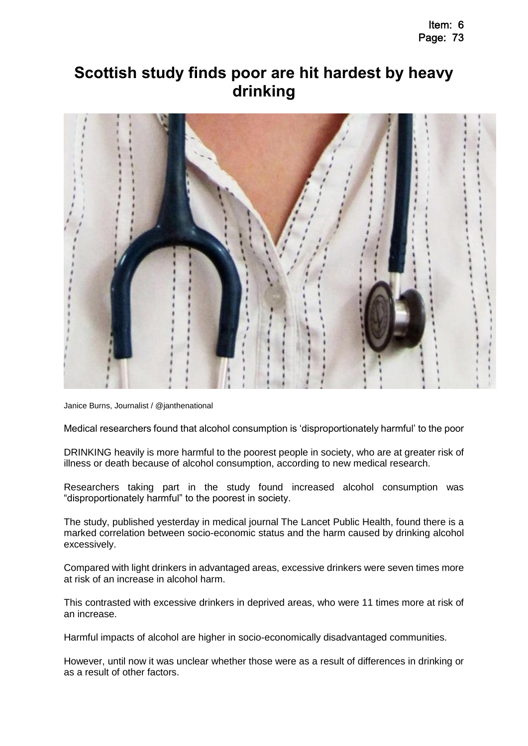## **Scottish study finds poor are hit hardest by heavy drinking**



[Janice Burns,](http://www.thenational.scot/author/profile/78855.Janice_Burns/) Journalist / [@janthenational](http://www.twitter.com/@janthenational) 

Medical researchers found that alcohol consumption is 'disproportionately harmful' to the poor

DRINKING heavily is more harmful to the poorest people in society, who are at greater risk of illness or death because of alcohol consumption, according to new medical research.

Researchers taking part in the study found increased alcohol consumption was "disproportionately harmful" to the poorest in society.

The study, published yesterday in medical journal The Lancet Public Health, found there is a marked correlation between socio-economic status and the harm caused by drinking alcohol excessively.

Compared with light drinkers in advantaged areas, excessive drinkers were seven times more at risk of an increase in alcohol harm.

This contrasted with excessive drinkers in deprived areas, who were 11 times more at risk of an increase.

Harmful impacts of alcohol are higher in socio-economically disadvantaged communities.

However, until now it was unclear whether those were as a result of differences in drinking or as a result of other factors.